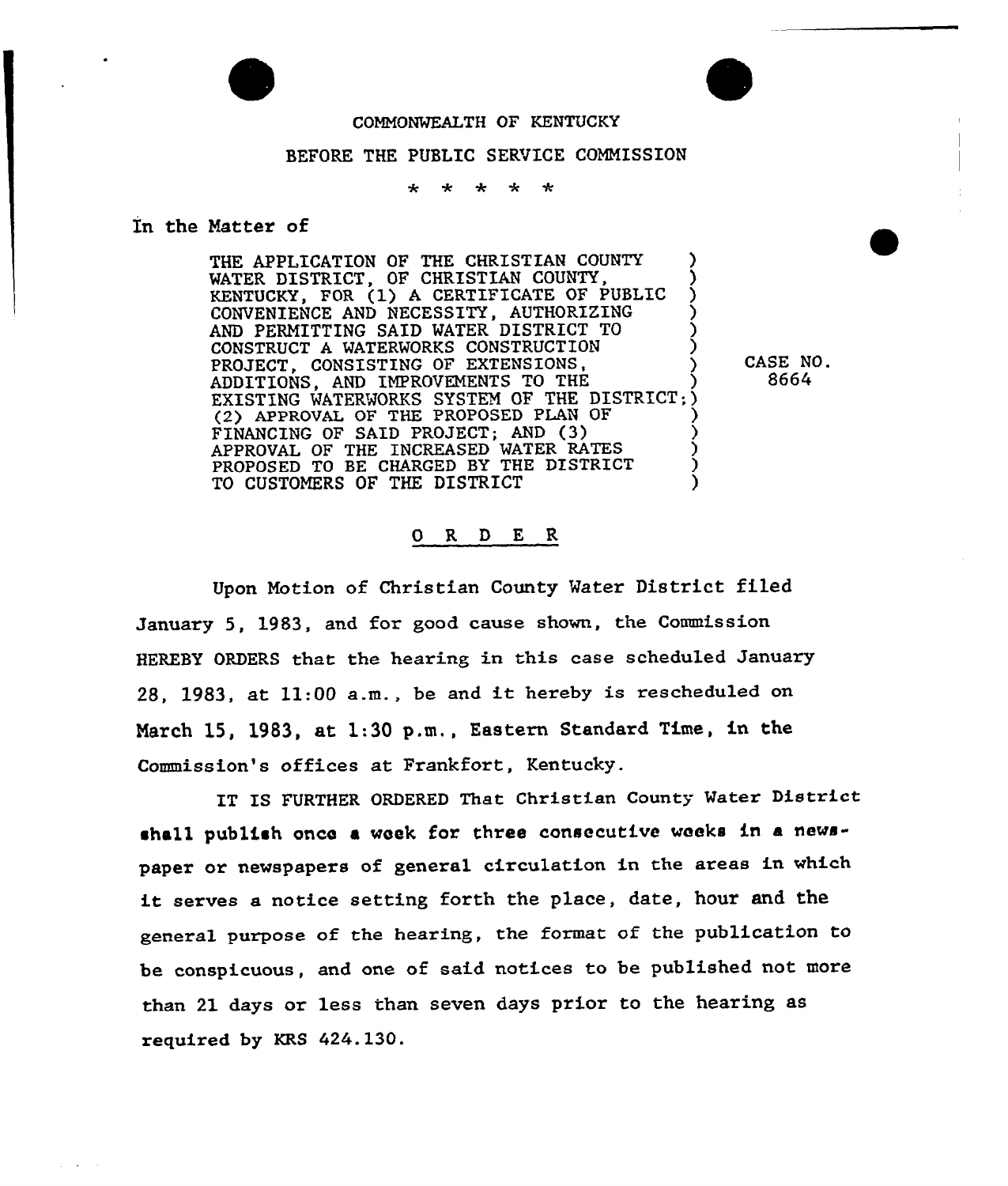

## COMNONMEALTH OF KENTUCKY

## BEFORE THE PUBLIC SERVICE COMMISSION

 $\ddot{\phantom{a}}$  $\ddot{\bullet}$ ميد ىيە.

## In the Natter of

THE APPLICATION OF THE CHRISTIAN COUNTY WATER DISTRICT, OF CHRISTIAN COUNTY. KENTUCKY, FOR (1) <sup>A</sup> CERTIFICATE OF PUBLIC ) CONVENIENCE AND NECESSITY, AUTHORIZING AND PERMITTING SAID MATER DISTRICT TO ) CONSTRUCT A WATERWORKS CONSTRUCTION PROJECT, CONSISTING OF EXTENSIONS. ADDITIONS, AND IMPROVEMENTS TO THE EXISTING WATERWORKS SYSTEM OF THE DISTRICT;) (2) APPROVAL OF THE PROPOSED PLAN OF FINANCING OF SAID PROJECT; AND (3} ) APPROVAL OF THE INCREASED WATER RATES ) PROPOSED TO BE CHARGED BY THE DISTRICT  $\left( \begin{array}{ccc} 0 & 0 & 0 \\ 0 & 0 & 0 \\ 0 & 0 & 0 \end{array} \right)$ TO CUSTOMERS OF THE DISTRICT

CASE NO. 8664

## 0 R <sup>D</sup> E R

Upon Notion of Christian County Mater District filed January 5, 1983, and for good cause shown, the Commission HEREBY ORDERS that the hearing in this case scheduled January 28, 1983, at 11:00 a.m., be and it hereby is rescheduled on Narch 15, 1983, at 1:30 p.m,, Eastern Standard Time, in the Commission's offices at Frankfort, Kentucky.

IT IS FURTHER ORDERED That Christian County Water District shall publish once a week for three consecutive weeks in a newspaper or newspapers of general circulation in the areas in which it serves <sup>a</sup> notice setting forth the place, date, hour and the general purpose of the hearing, the format of the publication to be conspicuous, and one of said notices to be published not more than 21 days or less than seven days prior to the hearing as required by KRS 424.130.